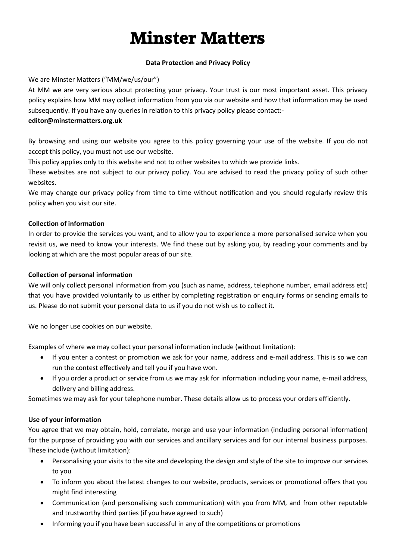# **Minster Matters**

## **Data Protection and Privacy Policy**

# We are Minster Matters ("MM/we/us/our")

At MM we are very serious about protecting your privacy. Your trust is our most important asset. This privacy policy explains how MM may collect information from you via our website and how that information may be used subsequently. If you have any queries in relation to this privacy policy please contact:-

## **editor@minstermatters.org.uk**

By browsing and using our website you agree to this policy governing your use of the website. If you do not accept this policy, you must not use our website.

This policy applies only to this website and not to other websites to which we provide links.

These websites are not subject to our privacy policy. You are advised to read the privacy policy of such other websites.

We may change our privacy policy from time to time without notification and you should regularly review this policy when you visit our site.

## **Collection of information**

In order to provide the services you want, and to allow you to experience a more personalised service when you revisit us, we need to know your interests. We find these out by asking you, by reading your comments and by looking at which are the most popular areas of our site.

## **Collection of personal information**

We will only collect personal information from you (such as name, address, telephone number, email address etc) that you have provided voluntarily to us either by completing registration or enquiry forms or sending emails to us. Please do not submit your personal data to us if you do not wish us to collect it.

We no longer use cookies on our website.

Examples of where we may collect your personal information include (without limitation):

- If you enter a contest or promotion we ask for your name, address and e-mail address. This is so we can run the contest effectively and tell you if you have won.
- If you order a product or service from us we may ask for information including your name, e-mail address, delivery and billing address.

Sometimes we may ask for your telephone number. These details allow us to process your orders efficiently.

# **Use of your information**

You agree that we may obtain, hold, correlate, merge and use your information (including personal information) for the purpose of providing you with our services and ancillary services and for our internal business purposes. These include (without limitation):

- Personalising your visits to the site and developing the design and style of the site to improve our services to you
- To inform you about the latest changes to our website, products, services or promotional offers that you might find interesting
- Communication (and personalising such communication) with you from MM, and from other reputable and trustworthy third parties (if you have agreed to such)
- Informing you if you have been successful in any of the competitions or promotions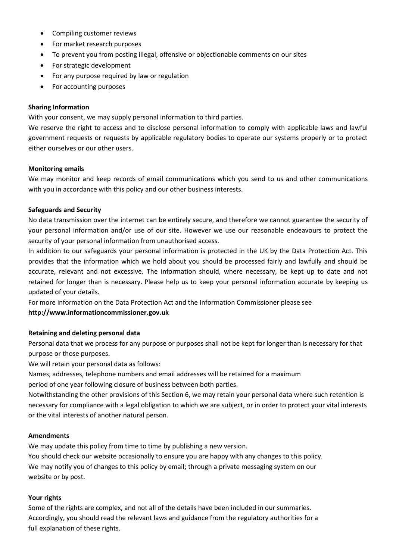- Compiling customer reviews
- For market research purposes
- To prevent you from posting illegal, offensive or objectionable comments on our sites
- For strategic development
- For any purpose required by law or regulation
- For accounting purposes

## **Sharing Information**

With your consent, we may supply personal information to third parties.

We reserve the right to access and to disclose personal information to comply with applicable laws and lawful government requests or requests by applicable regulatory bodies to operate our systems properly or to protect either ourselves or our other users.

#### **Monitoring emails**

We may monitor and keep records of email communications which you send to us and other communications with you in accordance with this policy and our other business interests.

#### **Safeguards and Security**

No data transmission over the internet can be entirely secure, and therefore we cannot guarantee the security of your personal information and/or use of our site. However we use our reasonable endeavours to protect the security of your personal information from unauthorised access.

In addition to our safeguards your personal information is protected in the UK by the Data Protection Act. This provides that the information which we hold about you should be processed fairly and lawfully and should be accurate, relevant and not excessive. The information should, where necessary, be kept up to date and not retained for longer than is necessary. Please help us to keep your personal information accurate by keeping us updated of your details.

For more information on the Data Protection Act and the Information Commissioner please see **http://www.informationcommissioner.gov.uk**

## **Retaining and deleting personal data**

Personal data that we process for any purpose or purposes shall not be kept for longer than is necessary for that purpose or those purposes.

We will retain your personal data as follows:

Names, addresses, telephone numbers and email addresses will be retained for a maximum

period of one year following closure of business between both parties.

Notwithstanding the other provisions of this Section 6, we may retain your personal data where such retention is necessary for compliance with a legal obligation to which we are subject, or in order to protect your vital interests or the vital interests of another natural person.

#### **Amendments**

We may update this policy from time to time by publishing a new version.

You should check our website occasionally to ensure you are happy with any changes to this policy. We may notify you of changes to this policy by email; through a private messaging system on our website or by post.

## **Your rights**

Some of the rights are complex, and not all of the details have been included in our summaries. Accordingly, you should read the relevant laws and guidance from the regulatory authorities for a full explanation of these rights.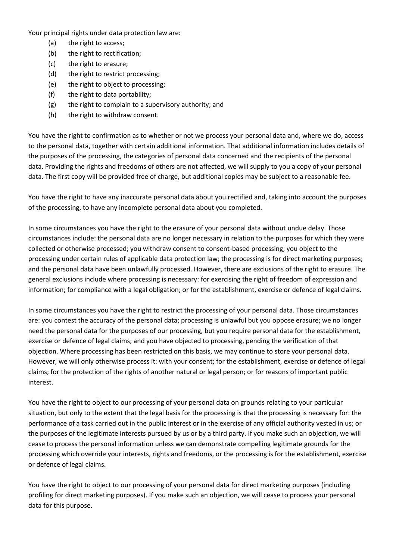Your principal rights under data protection law are:

- (a) the right to access;
- (b) the right to rectification;
- (c) the right to erasure;
- (d) the right to restrict processing;
- (e) the right to object to processing;
- (f) the right to data portability;
- (g) the right to complain to a supervisory authority; and
- (h) the right to withdraw consent.

You have the right to confirmation as to whether or not we process your personal data and, where we do, access to the personal data, together with certain additional information. That additional information includes details of the purposes of the processing, the categories of personal data concerned and the recipients of the personal data. Providing the rights and freedoms of others are not affected, we will supply to you a copy of your personal data. The first copy will be provided free of charge, but additional copies may be subject to a reasonable fee.

You have the right to have any inaccurate personal data about you rectified and, taking into account the purposes of the processing, to have any incomplete personal data about you completed.

In some circumstances you have the right to the erasure of your personal data without undue delay. Those circumstances include: the personal data are no longer necessary in relation to the purposes for which they were collected or otherwise processed; you withdraw consent to consent-based processing; you object to the processing under certain rules of applicable data protection law; the processing is for direct marketing purposes; and the personal data have been unlawfully processed. However, there are exclusions of the right to erasure. The general exclusions include where processing is necessary: for exercising the right of freedom of expression and information; for compliance with a legal obligation; or for the establishment, exercise or defence of legal claims.

In some circumstances you have the right to restrict the processing of your personal data. Those circumstances are: you contest the accuracy of the personal data; processing is unlawful but you oppose erasure; we no longer need the personal data for the purposes of our processing, but you require personal data for the establishment, exercise or defence of legal claims; and you have objected to processing, pending the verification of that objection. Where processing has been restricted on this basis, we may continue to store your personal data. However, we will only otherwise process it: with your consent; for the establishment, exercise or defence of legal claims; for the protection of the rights of another natural or legal person; or for reasons of important public interest.

You have the right to object to our processing of your personal data on grounds relating to your particular situation, but only to the extent that the legal basis for the processing is that the processing is necessary for: the performance of a task carried out in the public interest or in the exercise of any official authority vested in us; or the purposes of the legitimate interests pursued by us or by a third party. If you make such an objection, we will cease to process the personal information unless we can demonstrate compelling legitimate grounds for the processing which override your interests, rights and freedoms, or the processing is for the establishment, exercise or defence of legal claims.

You have the right to object to our processing of your personal data for direct marketing purposes (including profiling for direct marketing purposes). If you make such an objection, we will cease to process your personal data for this purpose.